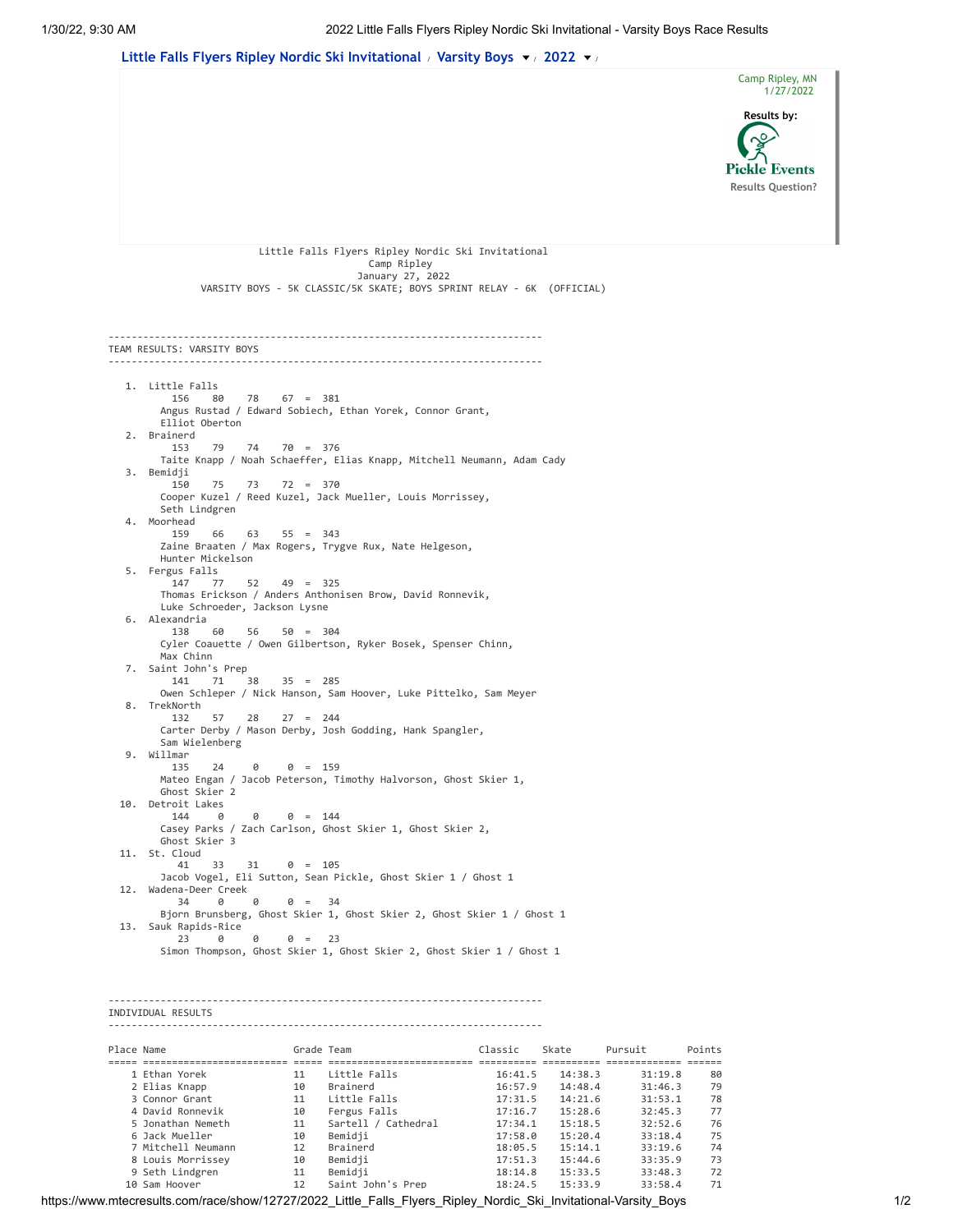

 8 Louis Morrissey 10 Bemidji 17:51.3 15:44.6 33:35.9 73 9 Seth Lindgren 11 Bemidji 18:14.8 15:33.5 33:48.3 72 10 Sam Hoover 12 Saint John's Prep 18:24.5 15:33.9 33:58.4 71